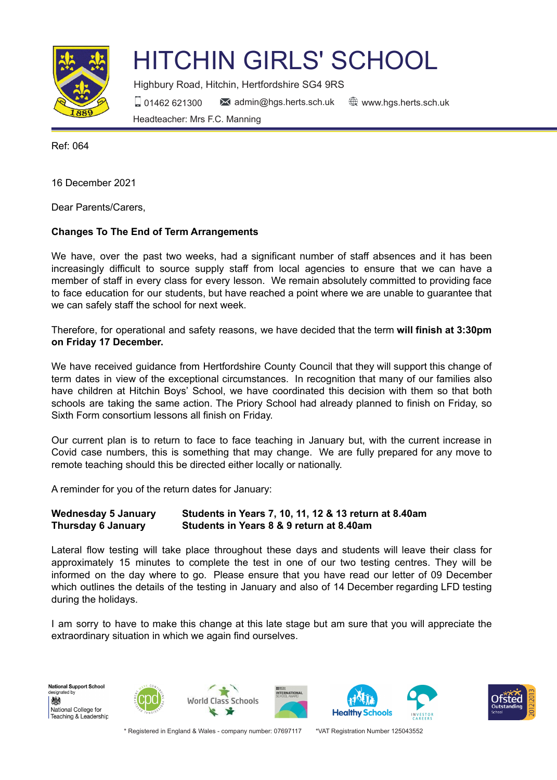

## HITCHIN GIRLS' SCHOOL

Highbury Road, Hitchin, Hertfordshire SG4 9RS 01462 621300 admin@hgs.herts.sch.uk www.hgs.herts.sch.uk Headteacher: Mrs F.C. Manning

Ref: 064

16 December 2021

Dear Parents/Carers,

## **Changes To The End of Term Arrangements**

We have, over the past two weeks, had a significant number of staff absences and it has been increasingly difficult to source supply staff from local agencies to ensure that we can have a member of staff in every class for every lesson. We remain absolutely committed to providing face to face education for our students, but have reached a point where we are unable to guarantee that we can safely staff the school for next week.

Therefore, for operational and safety reasons, we have decided that the term **will finish at 3:30pm on Friday 17 December.**

We have received guidance from Hertfordshire County Council that they will support this change of term dates in view of the exceptional circumstances. In recognition that many of our families also have children at Hitchin Boys' School, we have coordinated this decision with them so that both schools are taking the same action. The Priory School had already planned to finish on Friday, so Sixth Form consortium lessons all finish on Friday.

Our current plan is to return to face to face teaching in January but, with the current increase in Covid case numbers, this is something that may change. We are fully prepared for any move to remote teaching should this be directed either locally or nationally.

A reminder for you of the return dates for January:

## **Wednesday 5 January Students in Years 7, 10, 11, 12 & 13 return at 8.40am Thursday 6 January Students in Years 8 & 9 return at 8.40am**

Lateral flow testing will take place throughout these days and students will leave their class for approximately 15 minutes to complete the test in one of our two testing centres. They will be informed on the day where to go. Please ensure that you have read our letter of 09 December which outlines the details of the testing in January and also of 14 December regarding LFD testing during the holidays.

I am sorry to have to make this change at this late stage but am sure that you will appreciate the extraordinary situation in which we again find ourselves.

**National Support School** esignated by 戀 National College for Teaching & Leadership











\* Registered in England & Wales - company number: 07697117 \*VAT Registration Number 125043552